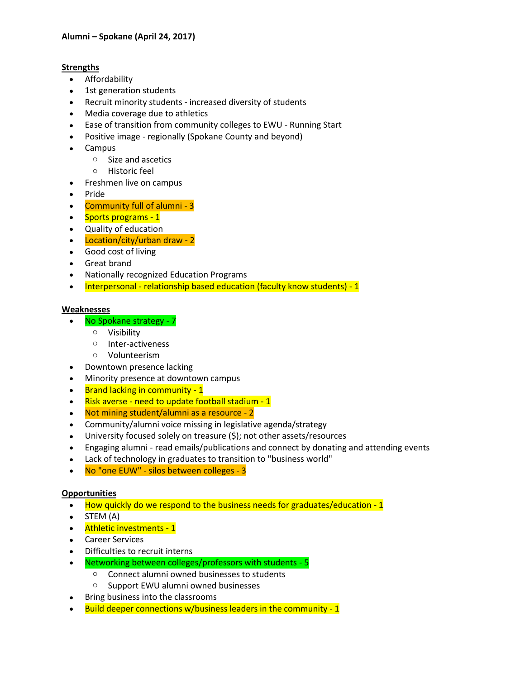## **Strengths**

- Affordability
- 1st generation students
- Recruit minority students increased diversity of students
- Media coverage due to athletics
- Ease of transition from community colleges to EWU Running Start
- Positive image regionally (Spokane County and beyond)
- Campus
	- o Size and ascetics
	- o Historic feel
- Freshmen live on campus
- Pride
- Community full of alumni 3
- Sports programs 1
- Quality of education
- Location/city/urban draw 2
- Good cost of living
- Great brand
- Nationally recognized Education Programs
- Interpersonal relationship based education (faculty know students) 1

### **Weaknesses**

- No Spokane strategy 7
	- o Visibility
	- o Inter-activeness
	- o Volunteerism
- Downtown presence lacking
- Minority presence at downtown campus
- Brand lacking in community 1
- Risk averse need to update football stadium 1
- Not mining student/alumni as a resource 2
- Community/alumni voice missing in legislative agenda/strategy
- University focused solely on treasure (\$); not other assets/resources
- Engaging alumni read emails/publications and connect by donating and attending events
- Lack of technology in graduates to transition to "business world"
- No "one EUW" silos between colleges 3

### **Opportunities**

- How quickly do we respond to the business needs for graduates/education 1
- $\bullet$  STEM (A)
- Athletic investments 1
- Career Services
- Difficulties to recruit interns
- Networking between colleges/professors with students 5
	- o Connect alumni owned businesses to students
	- o Support EWU alumni owned businesses
- Bring business into the classrooms
- Build deeper connections w/business leaders in the community 1